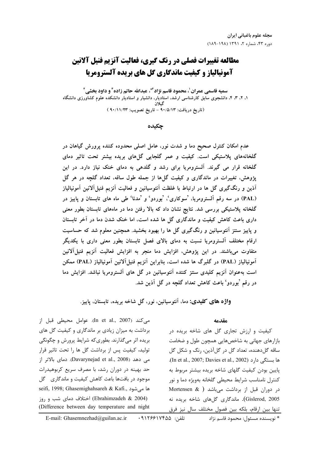# مطالعه تغییرات فصلی در رنگ گیری، فعالیت آنزیم فنیل آلانین **آمونیالیاز و کیفیت ماندگاری گل های بریده آلسترومریا**

سميه قاسمي عمران<sup>1</sup>، محمود قاسم نژاد<sup>4</sup>ً، عبدالله حاتم زاده<sup>1</sup>و داود بخشي<sup>1</sup> ۱. ۲. ۳. ۴. دانشجوی سابق کارشناسی ارشد، استادیار، دانشیار و استادیار دانشکده علوم کشاورزی دانشگاه (تاريخ دريافت: ٩٠/٥/١٣ - تاريخ تصويب: ٩٠/١١/٢٣ )

جكىدە

عدم امکان کنترل صحیح دما و شدت نور، عامل اصلی محدوده کننده پرورش گیاهان در گلخانههای پلاستیکی است. کیفیت و عمر گلجایی گلهای بریده بیشتر تحت تاثیر دمای گلخانه قرار می گیرند. آلسترومریا برای رشد و گلدهی به دمای خنک نیاز دارد. در این یژوهش، تغییرات در ماندگاری و کیفیت گل۵ا از جمله طول ساقه، تعداد گلچه در هر گل اَذین و رنگگیری گل ها در ارتباط با غلظت اَنتوسیانین و فعالیت اَنزیم فنیلاآلانین اَمونیالیاز (PAL) در سه رقم آلسترومریا، 'سوکاری'، 'بوردو' و 'مدنا' طی ماه های تابستان و پاییز در گلخانه پلاستیکی بررسی شد. نتایج نشان داد که بالا رفتن دما در ماههای تابستان بطور معنی داری باعث کاهش کیفیت و ماندگاری گل ها شده است، اما خنک شدن دما در آخر تابستان و پاییز سنتز آنتوسیانین و رنگگیری گل ها را بهبود بخشید. همچنین معلوم شد که حساسیت ارقام مختلف آلسترومریا نسبت به دمای بالای فصل تابستان بطور معنی داری با یکدیگر متفاوت میباشند. در این پژوهش، افزایش دما منجر به افزایش فعالیت آنزیم فنیلآلانین آمونیالیاز (PAL) در گلبرگ ها شده است، بنابراین آنزیم فنیلآلانین آمونیالیاز (PAL) ممکن است بهعنوان آنزیم کلیدی سنتز کننده آنتوسیانین در گل های آلسترومریا نباشد. افزایش دما در رقم 'بوردو' باعث کاهش تعداد گلچه در گل اَذین شد.

واژه های کلیدی: دما، آنتوسیانین، نور، گل شاخه بریده، تابستان، پاییز.

مقدمه

کیفیت و ارزش تجاری گل های شاخه بریده در بازارهای جهانی به شاخصهایی همچون طول و ضخامت ساقه گلدهنده، تعداد گل در گلآذین، رنگ و شکل گل ها بستگی دارد (In et al., 2007; Davies et al., 2002). يايين بودن كيفيت گلهای شاخه بريده بيشتر مربوط به كنترل نامناسب شرايط محيطى كلخانه بهويژه دما و نور در دوران قبل از برداشت میباشد ( Mortensen & ) Gislerod, 2005). ماندگاری گلهای شاخه بریده نه تنها بين ارقام، بلكه بين فصول مختلف سال نيز فرق

می کند (In et al., 2007). عوامل محیطی قبل از برداشت به میزان زیادی بر ماندگاری و کیفیت گل های بریده اثر میگذارند. بطوریکه شرایط پرورش و چگونگی تولید، کیفیت پس از برداشت گل ها را تحت تاثیر قرار می دهد (Davarynejad et al., 2008). دمای بالاتر از حد بهینه در دوران رشد، با مصرف سریع کربوهیدرات موجود در بافتها باعث کاهش کیفیت و ماندگاری گل seifi, 1998; Ghasemighahsareh & Kafi., ها می شود (Ebrahimzadeh & 2004) اختلاف دمای شب و روز (Difference between day temperature and night

\* نویسنده مسئول: محمود قاسم نژاد

تلفن: ۱۷۴۵۵۹٬۲۶۶ E-mail: Ghasemnezhad@guilan.ac.ir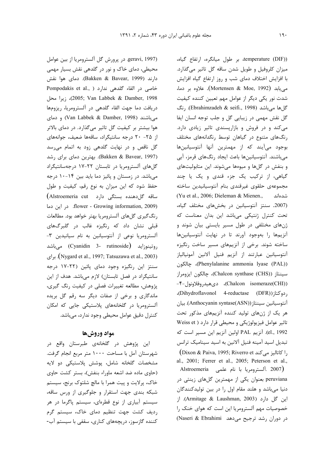geravi, 1997). در پرورش گل آلسترومريا از بين عوامل محیطی، دمای خاک و نور در گلدهی نقش بسیار مهمی دارند (Bakken & Bavear, 1999). دمای هوا نقش Pompodakis et al., خاصی در القاء گلدهی ندارد (Pompodakis et al., ) (2005; Van Labbek & Damber, 1998)، زيرا محل دريافت دما جهت القاء گلدهي در آلسترومريا، ريزومها میباشند (Van Labbek & Damber, 1998) و دمای هوا بیشتر بر کیفیت گل تاثیر میگذارد. در دمای بالاتر از ۲۵- ۲۰ درجه سانتیگراد، ساقهها ضعیف، جوانههای گل ناقص و در نهایت گلدهی زود به اتمام می سد (Bakken & Bavear, 1997). بهترين دماي براي رشد گلهای آلسترومریا در تابستان ۲۲-۱۷ درجهسانتیگراد میباشد. در زمستان و پائیز دما باید بین ۱۴-۱۰ درجه حفظ شود که این میزان به نوع رقم، کیفیت و طول ساقه گل<منده بستگی دارد Alstroemeria cut flower - Growing information, 2009). در این دما رنگ گیری گلهای آلسترومریا بهتر خواهد بود. مطالعات قبلی نشان داد که رنگیزه غالب در گلبرگهای آلسترومریا نوعی از آنتوسیانین به نام سیانیدین ۳-روتينوزايد (Cyanidin 3- rutinoside) مىباشد (Nygard et al., 1997; Tatsuzawa et al., 2003). برای سنتز این رنگیزه وجود دمای پائین (۲۲-۱۷ درجه سانتیگراد در فصل تابستان) لازم میباشد. هدف از این پژوهش، مطالعه تغییرات فصلی در کیفیت رنگ گیری، ماندگاری و برخی از صفات دیگر سه رقم گل بریده آلسترومریا در گلخانههای پلاستیکی جایی که امکان کنترل دقیق عوامل محیطی وجود ندارد، مے باشد.

## مواد وروشها

این پژوهش در گلخانهی طبرستان واقع در شهرستان آمل با مساحت ۱۰۰۰ متر مربع انجام گرفت. مشخصات گلخانه شامل، پوشش پلاستیکی دو لایه (حاوی ماده ضد اشعه ماوراء بنفش)، بستر کشت حاوی خاک، پرلایت و پیت همرا با مالچ شلتوک برنج، سیستم شبکه بندی جهت استقرار و جلوگیری از ورس ساقه، سیستم آبیاری از نوع قطرهای، سیستم پاگرما در هر ردیف کشت جهت تنظیم دمای خاک، سیستم گرم کننده گازسوز، دریچههای کناری، سقفی با سیستم آب- temperature (DIF))، بر طول میانگره، ارتفاع گیاه، میزان کلروفیل و طویل شدن ساقه گل تاثیر میگذارد. با افزایش اختلاف دمای شب و روز ارتفاع گیاه افزایش می یابد (Mortensen & Moe, 1992). علاوه بر دما، شدت نور یکی دیگر از عوامل مهم تعیین کننده کیفیت گل ها می باشد (Ebrahimzadeh & seifi., 1998). , نگ گل نقش مهمی در زیبایی گل و جلب توجه انسان ایفا می کند و در فروش و بازارپسندی تاثیر زیادی دارد. رنگهای متنوع در گیاهان توسط رنگدانههای مختلف بوجود می آیند که از مهمترین آنها آنتوسیانینها میباشند. آنتوسیانینها باعث ایجاد رنگهای قرمز، آبی و بنفش در گلها و میوهها میشوند. این متابولیتهای گیاهی، از ترکیب یک جزء قندی و یک یا چند مجموعهى حلقوى غيرقندى بنام آنتوسيانيدين ساخته (Yu et al., 2006; Dieleman & Mienen., شدهاند (2007. سنتز آنتوسیانین در بخشهای مختلف گیاه، تحت كنترل ژنتيكى مىباشد اين بدان معناست كه ژنهای مختلفی در طول مسیر بایستی بیان شوند و آنزیمها را بهوجود آورند تا در نهایت آنتوسیانینها ساخته شوند. برخی از آنزیمهای مسیر ساخت رنگیزه آنتوسيانين عبارتند از آنزيم فنيل آلانين آمونيالياز (Phenylalanine ammonia lyase (PAL))، چالكون سينتاز (Chalcon synthase (CHS))، چالکون ايزومراز (Chalcon isomeraze(CHI)، دیهیدروفلاونول−۴− , دوكتا; (Dihydroflavonol 4-reductase (DFR))، آنتوسیانین سینتاز (Anthocyanin syntase(ASN)). بیان هر یک از ژنهای تولید کننده آنزیمهای مذکور تحت تاثیر عوامل فیزیولوژیکی و محیطی قرار دارد ( Weiss et el., 1992). آنزيم PAL اولين آنزيم اين مسير است كه تبدیل اسید آمینه فنیل آلانین به اسید سینامیک ترانس  $(Dixon & Paiva, 1995; Riverro et)$ ا كاتاليز مي كند ), al., 2001; Ferrer et al., 2005; Peterson et al., Alstroemeria آلسترومريا با نام علمي Alstroemeria

peruviana بعنوان یکی از مهمترین گلهای زینتی در دنیا میباشد و هلند مقام اول را در بین تولیدکنندگان این گل دارد (Armitage & Laushman, 2003). از خصوصیات مهم آلسترومریا این است که هوای خنک را در دوران رشد ترجیح میدهد Naseri & Ebrahimi)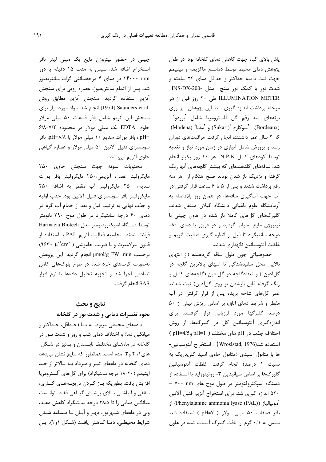یاش بالای گیاه جهت کاهش دمای گلخانه بود. در طول پژوهش دمای محیط توسط دماسنج ماکزیمم و مینیمم جهت ثبت دامنه حداکثر و حداقل دمای ۲۴ ساعته و شدت نور با کمک نور سنج مدل -INS-DX-200 ILLUMINATION METER طی ۲۰ روز قبل از هر مرحله برداشت اندازه گیری شد. این پژوهش بر روی بوتەھاي سە ,قم گل آلسترومريا شامل 'بوردو' (Bordeaux)، 'سوكارى'(Sukari) و 'مدنا' (Modena) که ۲ سال عمر داشتند، انجام گرفت. مراقبتهای دوران رشد و پرورش شامل آبیاری در زمان مورد نیاز و تغذیه توسط كودهاى كامل N-P-K هر ١٠ روز يكبار انجام شد. ساقههای گلدهندهای که بیشتر گلچههای آنها رنگ گرفته و نزدیک باز شدن بودند صبح هنگام از هر سه رقم برداشت شدند و پس از ۵ تا ۶ ساعت قرار گرفتن در آب جهت آبگیری ساقهها، در همان روز بلافاصله به آزمایشگاه علوم باغبانی دانشگاه گیلان منتقل شدند. گلبرگهای گلهای کاملا باز شده در هاون چینی با نیتروژن مایع آسیاب گردید و در فریزر با دمای ٨٠-درجه سانتیگراد تا قبل از اندازه گیری فعالیت آنزیم و غلظت آنتوسیانین نگهداری شدند.

خصوصیاتی چون طول ساقه گلدهنده (از انتهای بالایی محل سفیدشدگی تا انتهای بالاترین گلچه در گل آذین ) و تعدادگلچه در گل آذین (گلچههای کامل و رنگ گرفته قابل بازشدن بر روی گلآذین) ثبت شدند. عمر گلهای شاخه بریده پس از قرار گرفتن در آب مقطر و شرایط دمای اتاق، بر اساس ریزش بیش از ۵۰ درصد گلبرگها مورد ارزیابی قرار گرفتند. برای اندازهگیری آنتوسیانین کل در گلبرگها، از روش اختلاف جذب د, pH های مختلف ( pH=4/5 و pH=4/5) استفاده شد(Wroslstad, 1976) . استخراج آنتوسيانين-ها با متانول اسیدی (متانول حاوی اسید کلریدریک به نسبت ١ درصد) انجام گرفت. غلظت آنتوسيانين گلبرگها بر اساس سیانیدین ۳- روتینوزاید با استفاده از دستگاه اسپکتروفتومتر در طول موج های ۷۰۰ m ۵۲۰ اندازه گیری شد. برای استخراج آنزیم فنیل آلانین j (Phenylalanine ammonia lyase (PAL)) j بافر فسفات ۵۰ میلی مولار ( pH=۷ ) استفاده شد. سپس به ۰/۱ گرم از بافت گلبرگ آسیاب شده در هاون

چینی در حضور نیتروژن مایع یک میلی لیتر بافر استخراج اضافه شد، سیس به مدت ۱۵ دقیقه با دور ۱۴۰۰۰ rpm در دمای ۴ درجهسانتی گراد، سانتریفیوژ شد. پس از اتمام سانتریفیوژ، عصاره رویی برای سنجش أنزيم استفاده گرديد. سنجش أنزيم مطابق روش .Saunders et al (1974) انجام شد. مواد مورد نیاز برای سنجش این آنزیم شامل بافر فسفات ۵۰ میلی مولار حاوی EDTA یک میلی مولار در محدوده ۷/۲-۶/۸ pH=، بافر بورات سديم ١٠ ميلي مولار با pH=۸/۸ بافر سوبسترای فنیل آلانین ۵۰ میلی مولار و عصاره گیاهی حاوي آنزيم ميباشد.

محتويات نمونه جهت سنجش حاوى ٢۵٠ مايكروليتر عصاره آنزيمي،٢۵٠ مايكروليتر بافر بورات سديم، ٢٥٠ مايكروليتر آب مقطر به اضافه ٢٥٠ مايكروليتر بافر سوبستراي فنيل آلانين بود. جذب اوليه و جذب نهایی به ترتیب قبل و بعد از حمام آب گرم در دمای ۴۰ درجه سانتیگراد در طول موج ۲۹۰ نانومتر توسط دستگاه اسپکتروفتومتر مدل Harmacia Biotech قرائت شدند. محاسبه فعاليت آنزيم PAL با استفاده از قانون بیرلامبرت و با ضریب خاموشی (۹۶۳۰  $\mu^{-1} \text{cm}^{-1}$ ) برحسب µmol/g FW. min انجام گردید. این پژوهش بهصورت کرتهای خرد شده در طرح بلوکهای کامل تصادفی اجرا شد و تجزیه تحلیل دادهها با نرم افزار SAS انجام گرفت.

# نتايج و بحث

### نحوه تغییرات دمایی و شدت نور در گلخانه

دادههای محیطی مربوط به دما (حـداقل، حـداکثر و میانگین دما) و اختلاف دمای شب و روز و شدت نـور در گلخانه در ماههـای مختلـف تابـستان و پـائیز در شـكل-های ۱، ۲ و۳ آمده است. همانطور که نتایج نشان میدهد دمای گلخانه در ماههای تیـر و مـرداد بـه بـالاتر از حـد اپتیمم (٢٠-١٨ درجه سانتیگراد) برای گلهای آلسترومريا افزایش یافت، بطوریکه بـاز کـردن دریچـههـای کنـاری، سقفی و آبپاشـی بـالای پوشـش گیـاهی فقـط توانـست میانگین دمایی را تا ۲۸/۵ درجه سانتیگراد کاهش دهـد، ولی در ماههای شـهریور، مهـر و آبـان بـا مـساعد شـدن شرايط محيطـي، دمـا كـاهش يافـت (شـكل ١و٢). ايـن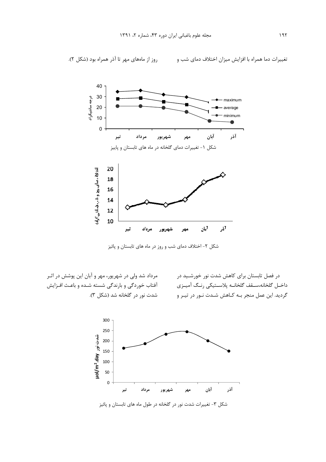

شکل ۲- اختلاف دمای شب و روز در ماه های تابستان و پائیز

در فصل تابستان برای کاهش شدت نور خورشـید در داخـل گلخانه،ســقف گلخانــه پلاسـتيكى رنـگ آميــزى گردید. این عمل منجر بـه کـاهش شـدت نـور در تیـر و

مرداد شد ولی در شهریور، مهر و آبان این پوشش در اثـر آفتاب خوردگی و بارندگی شسته شـده و باعـث افـزایش شدت نور در گلخانه شد (شکل ۳).



شکل ۳- تغییرات شدت نور در گلخانه در طول ماه های تابستان و پائیز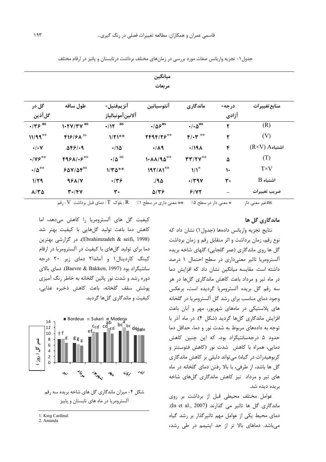| ميانگين<br>مربعات         |                                    |                              |                                |                                                  |              |                       |
|---------------------------|------------------------------------|------------------------------|--------------------------------|--------------------------------------------------|--------------|-----------------------|
|                           |                                    |                              |                                |                                                  |              |                       |
| گل آذین                   | آلانينآمونيالياز                   |                              |                                | آزادي                                            |              |                       |
| $\cdot$ /۳۶ <sup>ns</sup> | $1.7Y/TV$ <sup>ns</sup>            | ns<br>$+117$                 | $\cdot/\Delta S$ <sup>ns</sup> | $\cdot/\cdot\Delta$ <sup>ns</sup>                | ٢            | (R)                   |
| $11/99***$                | $F19/8A$ <sup>ns</sup>             | $1/\Upsilon$ <sup>**</sup>   | $YF9F/Y5***$                   | $F/\cdot Y$ **                                   | ۲            | (V)                   |
| $\cdot/\cdot$ Y           | $\Delta F$ $9$ $\cdot$ 9           | ۱۱۵                          | $\cdot/\Lambda$ ٩              | $\cdot$ /19 $\Lambda$                            | ۴            | $(R\times V)$ Aاشتباه |
| $\cdot$ /Y۶ <sup>**</sup> | $F951-F**$                         | $\cdot/\Delta$ <sup>ns</sup> | $1.11190***$                   | $\mathbf{r}\mathbf{r}/\mathbf{r}\mathbf{v}^{**}$ | ۵            | (T)                   |
| $\cdot/\Delta^{**}$       | $80$ V/ $\Delta$ $5$ <sup>ns</sup> | $1/\Upsilon\Delta^{**}$      | $197/11***$                    | $1/1$ <sup>*</sup>                               | $\mathsf{L}$ | $T\times V$           |
| 1/79                      | 981/4                              | .149                         | 190                            | $\cdot$ /۳۹۷                                     | ٣٠           | $B$ اشتباه            |
| $A/Y$ $\Delta$            | $\mathbf{r} \cdot \mathbf{r}$      | ٣٠                           | $\Delta/\Upsilon$              | 9/47                                             |              | ضريب تغييرات          |

جدول ۱ – تجزیه واریانس صفات مورد بررسی در زمانهای مختلف برداشت در تابستان و پائیز در ارقام مختلف

\* معنى دار در سطح ۰٪ \*\* معنى دارى در سطح ۱٪ R . بلوک  $T$  : دماى قبل برداشت V : رقم ns:غیر معنی دار

## ماندگاري گل ها

نتایج تجزیه واریانس دادهها (جدول۱) نشان داد که نوع رقم، زمان برداشت و اثر متقابل رقم و زمان برداشت گل ها روی ماندگاری (عمر گلجایی) گلهای شاخه بریده آلسترومریا تاثیر معنیداری در سطح احتمال ١ درصد داشته است. مقایسه میانگین نشان داد که افزایش دما در ماه تیر و مرداد باعث کاهش ماندگاری گلها در هر سه رقم گل بریده آلسترومریا گردیده است، برعکس وجود دمای مناسب برای رشد گل آلسترومریا در گلخانه های پلاستیکی در ماههای شهریور، مهر و آبان باعث افزایش ماندگاری گلها گردید (شکل ۴). در ماه آذر با توجه به دادههای مربوط به شدت نور و دما، حداقل دما حدود ۵ درجهسانتیگراد بود، که این چنین کاهش دمایی، همراه با کاهش شدت نور (کاهش فتوسنتز و کربوهیدرات در گیاه) می تواند دلیلی بر کاهش ماندگاری گل ها باشد، از طرفی، با بالا رفتن دمای گلخانه در ماه های تیر و مرداد نیز کاهش ماندگاری گلهای شاخه بريده ديده شد.

عوامل مختلف محیطی قبل از برداشت بر روی ماندگاری گل ها تاثیر می گذارند (In et al., 2007). دمای محیط یکی از عوامل مهم تاثیرگذار بر رشد گیاه میباشد. دماهای بالا تر از حد اپتیمم در طی رشد،

کیفیت گل های آلسترومریا را کاهش میدهد، اما کاهش دما باعث تولید گلهایی با کیفیت بهتر شد (Ebrahimzadeh & seifi, 1998)، در گزارشی بهترین دما برای تولید گلهای با کیفیت در آلسترومریا در ارقام کینگ کاردینال۱ و آماندا۲ دمای زیر ۲۰ درجه سانتیگراد بود (Baevre & Bakken, 1997). دمای بالای دوره رشد و شدت نور پائین گلخانه به خاطر رنگ آمیزی يوشش سقف گلخانه، باعث كاهش ذخيره غذايي، کیفیت و ماندگاری گلها گردید.



شکل ۴- میزان ماندگاری گل های شاخه بریده سه رقم آلسترومریا در ماه های تابستان و پاییز

<sup>1.</sup> King Cardinal

<sup>2.</sup> Amanda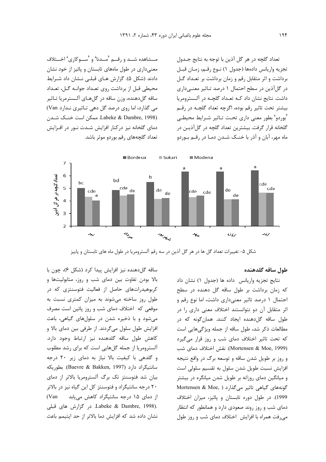مــشاهده شــد و رقــم 'مــدنا' و 'ســوکاری' اخــتلاف معنیداری در طول ماههای تابستان و پائیز از خود نشان دادند (شكل ۵). گزارش هـای قبلـی نـشان داد شـرايط محیطی قبل از برداشت روی تعـداد جوانـه گـل، تعـداد ساقه گلدهنده، وزن ساقه در گلهـای آلـسترمريا تـاثير می گذارد، اما روی درصد گل دهی تاثیری نـدارد Van) Labeke & Dambre, 1998). ممكن است خنك شدن دمای گلخانه نیز درکنار افزایش شدت نور در افزایش تعداد گلچههای رقم بوردو موثر باشد.

تعداد گلچه در هر گل آذین با توجه به نتایج جـدول تجزيه واريانس دادهها (جدول ١) نـوع رقـم، زمـان قبـل برداشت و اثر متقابل رقم و زمان برداشت بر تعداد گل در گلآذین در سطح احتمال ۱ درصد تاثیر معنیداری داشت. نتایج نشان داد کـه تعـداد گلچـه در آلـسترومريا بیشتر تحت تاثیر رقم بوده، اگرچه تعداد گلچـه در رقـم 'بوردو' بطور معنی داری تحت تـاثیر شـرایط محیطـی گلخانه قرار گرفت. بیشترین تعداد گلچه در گلآذیـن در ماه مهر، آبان و آذر با خنـک شـدن دمـا در رقـم بـوردو



شکل ۵- تغییرات تعداد گل ها در هر گل آذین در سه رقم آلسترومریا در طول ماه های تابستان و پاییز

#### طول ساقه گلدهنده

نتايج تجزيه واريانس داده ها (جدول ١) نشان داد که زمان برداشت بر طول ساقه گل دهنده در سطح احتمال ۱ درصد تاثیر معنیداری داشت، اما نوع رقم و اثر متقابل آن دو نتوانستند اختلاف معنی داری را در طول ساقه گل دهنده ایجاد کنند. همان گونه که در مطالعات ذکر شد، طول ساقه از جمله ویژگیهایی است كه تحت تاثير اختلاف دماى شب و روز قرار مى گيرد (Mortensen & Moe, 1999). نقش اختلاف دمای شب و روز بر طویل شدن ساقه و توسعه برگ در واقع نتیجه افزايش نسبت طويل شدن سلول به تقسيم سلولي است و میانگین دمای روزانه بر طویل شدن میانگره در بیشتر Mortensen & Moe, ) گیاهی تاثیر می گذارد 1999). در طول دوره تابستان و پائيز، ميزان اختلاف دمای شب و روز روند صعودی دارد و همانطور که انتظار می,فت همراه با افزایش اختلاف دمای شب و روز طول

ساقه گلدهنده نيز افزايش پيدا كرد (شكل ۶)، چون با بالا بودن تفاوت بين دماى شب و روز، متابوليتها و کربوهیدراتهای حاصل از فعالیت فتوسنتزی که در طول روز ساخته می شوند به میزان کمتری نسبت به موقعی که اختلاف دمای شب و روز پائین است مصرف می شود و با ذخیره شدن در سلولهای گیاهی، باعث افزایش طول سلول میگردند. از طرفی بین دمای بالا و كاهش طول ساقه گلدهنده نيز ارتباط وجود دارد. آلسترومریا از جمله گلهایی است که برای رشد مطلوب و گلدهی با کیفیت بالا نیاز به دمای زیر ۲۰ درجه سانتيگراد دارد (Baevre & Bakken, 1997). بطوريكه بیان شد فتوسنتز تک برگ آلسترومریا بالاتر از دمای ۲۰ درجه سانتیگراد و فتوسنتز کل این گیاه نیز در بالاتر از دمای ۱۵ درجه سانتیگراد کاهش می یابد Van .Labeke & Dambre, 1998). در گزارش های قبلی نشان داده شد که افزایش دما بالاتر از حد اپتیمم باعث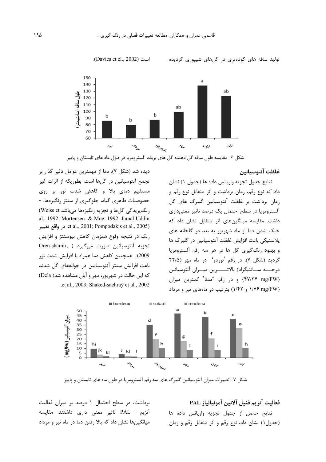

شکل ۶- مقایسه طول ساقه گل دهنده گل های بریده آلسترومریا در طول ماه های تابستان و پاییز

#### غلظت آنتوسيانين

نتايج جدول تجزيه واريانس داده ها (جدول ١) نشان داد که نوع رقم، زمان برداشت و اثر متقابل نوع رقم و .<br>زمان برداشت بر غلظت آنتوسیانین گلبرگ های گل آلسترومریا در سطح احتمال یک درصد تاثیر معنیداری داشت. مقایسه میانگینهای اثر متقابل نشان داد که خنک شدن دما از ماه شهریور به بعد در گلخانه های پلاستیکی باعث افزایش غلظت آنتوسیانین در گلبرگ ها و بهبود رنگ گیری گل ها در هر سه رقم آلسترومریا گردید (شکل ۷). در رقم <sup>ر</sup>بوردو<sup>،</sup> در ماه مهر (۲۲/۵ درجــــه ســـانتيگراد) بالاتـــــــرين ميـــزان آنتوسيانين (۴۷/۲۴ mg/FW) و در رقم 'مدنا<sup>?</sup> کمترین میزان (۱/۴۲ و ۱/۴۲) بترتیب در ماههای تیر و مرداد

ديده شد (شكل ٧). دما از مهمترين عوامل تاثير گذار بر تجمع آنتوسیانین در گلها است، بطوریکه از اثرات غیر مستقیم دمای بالا و کاهش شدت نور بر روی خصوصیات ظاهری گیاه، جلوگیری از سنتز رنگیزهها، -رنگ پريدگي گلها و تجزيه رنگيزهها مي باشد Weiss et) al., 1992; Mortensen & Moe, 1992; Jamal Uddin et al., 2001; Pompodakis et al., 2005). در واقع تغيير رنگ در نتیجه وقوع همزمان کاهش بیوسنتز و افزایش تجزيه آنتوسيانين صورت مى گيرد ( ,Oren-shamir 2009). همچنین کاهش دما همراه با افزایش شدت نور باعث افزایش سنتز آنتوسیانین در جوانههای گل شدند که این حالت در شهریور، مهر و آبان مشاهده شد( Dela) .et al., 2003; Shaked-sachray et al., 2002



شکل ۷- تغییرات میزان آنتوسیانین گلبرگ های سه رقم آلسترومریا در طول ماه های تابستان و پاییز

# فعاليت آنزيم فنيل آلانين آمونيالياز PAL

نتايج حاصل از جدول تجزيه واريانس داده ها (جدول ۱) نشان داد، نوع رقم و اثر متقابل رقم و زمان

برداشت، در سطح احتمال ۱ درصد بر میزان فعالیت PAL تاثیر معنی داری داشتند. مقایسه آنزيم میانگینها نشان داد که بالا رفتن دما در ماه تیر و مرداد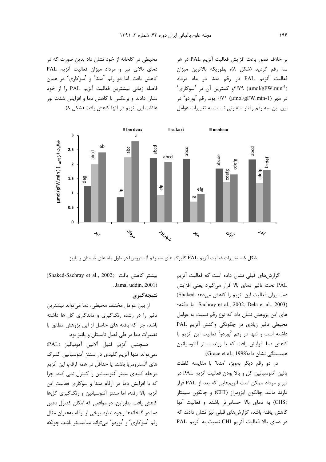بر خلاف تصور باعث افزايش فعاليت آنزيم PAL در هر سه رقم گردید (شکل ۸)، بطوریکه بالاترین میزان فعالیت آنزیم PAL در رقم مدنا در ماه مرداد  $\sim$ ۲/۷۹ (µmol/gFW.min<sup>-1</sup>) در مهر (µmol/gFW.min-1) ۰/۷۱ بود. رقم <sup>ر</sup>بوردو' در بین این سه رقم رفتار متفاوتی نسبت به تغییرات عوامل

محیطی در گلخانه از خود نشان داد بدین صورت که در دمای بالای تیر و مرداد میزان فعالیت آنزیم PAL کاهش یافت. اما دو رقم <sup>م</sup>مدنا' و <sup>م</sup>سوکاری' در همان فاصله زمانی بیشترین فعالیت آنزیم PAL ,ا از خود نشان دادند و برعکس با کاهش دما و افزایش شدت نور غلظت این آنزیم در آنها کاهش یافت (شکل ۸).



شکل ۸ - تغییرات فعالیت آنزیم PAL گلبرگ های سه رقم آلسترومریا در طول ماه های تابستان و پاییز

گزارشهای قبلی نشان داده است که فعالیت آنزیم PAL تحت تاثیر دمای بالا قرار می گیرد یعنی افزایش دما میزان فعالیت این آنزیم را کاهش میدهد-Shaked) -اما يافته Sachray et al., 2002; Dela et al., 2003) های این پژوهش نشان داد که نوع رقم نسبت به عوامل محیطی تاثیر زیادی در چگونگی واکنش آنزیم PAL داشته است و تنها در رقم <sup>ف</sup>بوردو<sup>6</sup> فعالیت این آنزیم با كاهش دما افزايش يافت كه با روند سنتز آنتوسيانين همبستگی نشان داد(Grace et al., 1998).

در دو رقم دیگر بهویژه <sup>م</sup>مدنا<sup>،</sup> با مقایسه غلظت پائین آنتوسیانین کل و بالا بودن فعالیت آنزیم PAL در تیر و مرداد ممکن است آنزیمهایی که بعد از PAL قرار دارند مانند چالکون ایزومراز (CHI) و چالکون سینتاز (CHS) به دمای بالا حساس تر باشند و فعالیت آنها کاهش یافته باشد، گزارشهای قبلی نیز نشان دادند که در دمای بالا فعالیت آنزیم CHI نسبت به آنزیم PAL

(Shaked-Sachray et al., 2002; بيشتر كاهش يافت . Jamal uddin, 2001)

# نتيجەگيرى

از بین عوامل مختلف محیطی، دما میتواند بیشترین تاثیر را در رشد، رنگ گیری و ماندگاری گل ها داشته باشد، چرا که یافته های حاصل از این پژوهش مطابق با تغییرات دما در طی فصل تابستان و پائیز بود.

همچنین آنزیم فنیل آلانین آمونیالیاز (PAL) نمی تواند تنها آنزیم کلیدی در سنتز آنتوسیانین گلبرگ های آلسترومریا باشد، یا حداقل در همه ارقام، این آنزیم مرحله کلیدی سنتز آنتوسیانین را کنترل نمی کند، چرا که با افزایش دما در ارقام مدنا و سوکاری فعالیت این آنزیم بالا رفته، اما سنتز آنتوسیانین و رنگ گیری گلها كاهش يافت. بنابراين، در مواقعي كه امكان كنترل دقيق دما در گلخانهها وجود ندارد برخی از ارقام بهعنوان مثال رقم 'سوکاری' و 'بوردو' میتواند مناسبتر باشد، چونکه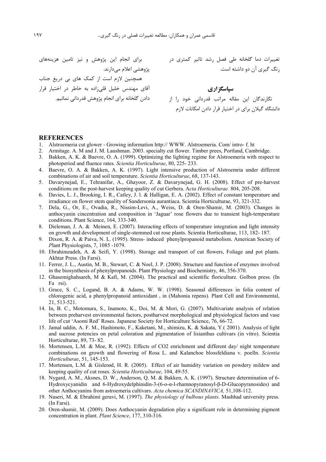برای انجام این پژوهش و نیز تامین هزینههای پژوهشی اعلام میدارند. همچنین لازم است از کمک های بی دریغ جناب آقای مهندس خلیل قلی;اده به خاطر در اختیار قرار دادن گلخانه برای انجام پژوهش قدردانی نمائیم.

 /+H 8 +7X & 1TQ := - @%2 ^+77q& .6! -H >F /+72 D

**'/-45 6** 5 . :" N&+ -\ g # > 2 G U5] ^ C > +" 7H. /+, >d72 GJ

#### **REFERENCES**

- 1. Alstroemeria cut glower Growing information http:// WWW. Alstroemeria. Com/ intro- f. ht
- 2. Armitage. A. M and J. M. Laushman. 2003. specialty cut flower. Timber prees, Portland, Cambridge.
- 3. Bakken, A. K. & Baevre, O. A. (1999). Optimizing the lighting regime for Alstroemeria with respect to photoperiod and fluence rates. *Scientia Horticulturae*, 80, 225- 233.
- 4. Baevre, O. A. & Bakken, A. K. (1997). Light intensive production of Alstroemria under different combinations of air and soil temperature. *Scientia Horticulturae*, 68, 137-143.
- 5. Davarynejad, E., Tehranifar, A., Ghayoor, Z. & Davarynejad, G. H. (2008). Effect of pre-harvest conditions on the post-harvest keeping quality of cut Gerbera. A*cta Horticulturae.* 804, 205-208.
- 6. Davies, L. J., Brooking, I. R., Catley, J. l. & Halligan, E. A. (2002). Effect of constant temperature and irradiance on flower stem quality of Sandersonia aurantiaca. Scientia Horticulturae, 93, 321-332.
- 7. Dela, G., Or, E., Ovadia, R., Nissim-Levi, A., Weiss, D. & Oren-Shamir, M. (2003). Changes in anthocyanin cincentration and composition in 'Jaguar' rose flowers due to transient high-temperature conditions. Plant Science, 164, 333-340.
- 8. Dieleman, J. A. & Meinen, E. (2007). Interacting effects of temperature integration and light intensity on growth and development of single-stemmed cut rose plants. Scientia Horticulturae, 113, 182- 187.
- 9. Dixon, R. A. & Paiva, N. L. (1995). Stress- induced phenylpropanoid metabolism. American Society of *P*lant Physiologists, 7, 1085 -1079.
- 10. Ebrahimzadeh, A. & Seifi, Y. (1998). Storage and transport of cut flowers, Foliage and pot plants. Akhtar Press. (In Farsi).
- 11. Ferrer, J. L., Austin, M. B., Stewart, C. & Noel, J. P. (2008). Structure and function of enzymes involved in the biosynthesis of phenylpropanoids. Plant Physiology and Biochemistry, 46, 356-370.
- 12. Ghasemighahsareh, M & Kafi, M. (2004). The practical and scientific floriculture. Golbon press. (In Fa rsi).
- 13. Grace, S. C., Logand, B. A. & Adams, W. W. (1998). Seasonal differences in folia content of chlorogenic acid, a phenylpropanoid antioxidant , in (Mahonia repens). Plant Cell and Environmental, 21, 513-521.
- 14. In, B. C., Motomura, S., Inamoto, K., Doi, M. & Mori, G. (2007). Multivariate analysis of relation between preharvest environmental factors, postharvest morphological and physiological factors and vase life of cut 'Asomi Red' Roses. Japanese Society for Horticulture Science, 76, 66-72.
- 15. Jamal uddin, A. F. M., Hashimoto, F., Kaketani, M., shimizu, K. & Sakata, Y.( 2001). Analysis of light and sucrose potencies on petal coloration and pigmentation of lisianthus cultivars (in vitro). Scientia Horticulturae, 89, 73- 82.
- 16. Mortensen, L.M. & Moe, R. (1992). Effects of CO2 enrichment and different day/ night temperature combinations on growth and flowering of Rosa L. and Kalanchoe blossfeldiana v. poelln. *Scientia Horticulturae*, 51, 145-153.
- 17. Mortensen, L.M. & Gislerød, H. R. (2005). Effect of air humidity variation on powdery mildew and keeping quality of cut roses*. Scientia Horticulturae*, 104, 49-55.
- 18. Nygard, A. M., Aksnes, D. W., Anderson, Q. M. & Bakken, A. K. (1997). Structure determination of 6- Hydroxycyanidin and 6-Hydroxydelphinidin-3- $(6-a-1)$ -rhamnopyranosyl- $\beta$ -D-Glucopyranosides) and other Anthocyanins from astroemeria cultivars. *Acta chemica SCANDINAVICA,* 51,108-112.
- 19. Naseri, M. & Ebrahimi geravi, M. (1997). *The physiology of bulbous plants*. Mashhad university press. (In Farsi).
- 20. Oren-shamir, M. (2009). Does Anthocyanin degradation play a significant role in determining pigment concentration in plant. *Plant Science*, 177, 310-316.